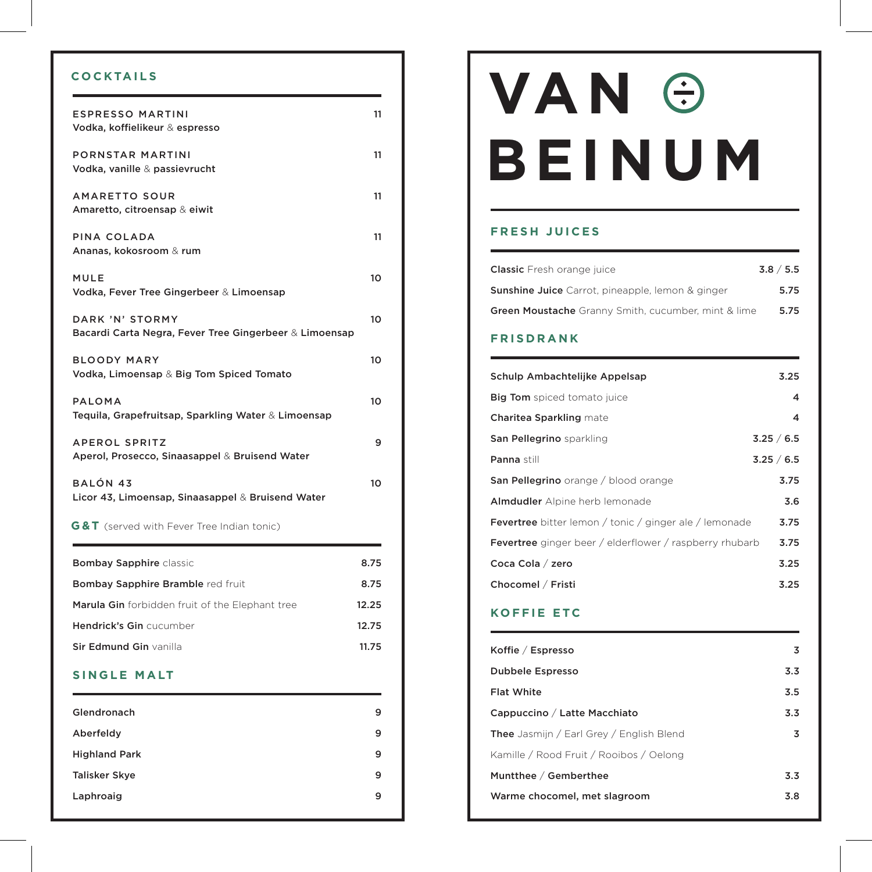## **COCKTAILS**

| <b>ESPRESSO MARTINI</b><br>Vodka, koffielikeur & espresso                 | 11    |
|---------------------------------------------------------------------------|-------|
| PORNSTAR MARTINI<br>Vodka, vanille & passievrucht                         | 11    |
| <b>AMARETTO SOUR</b><br>Amaretto, citroensap & eiwit                      | 11    |
| PINA COLADA<br>Ananas, kokosroom & rum                                    | 11    |
| <b>MULE</b><br>Vodka, Fever Tree Gingerbeer & Limoensap                   | 10    |
| DARK 'N' STORMY<br>Bacardi Carta Negra, Fever Tree Gingerbeer & Limoensap | 10    |
| <b>BLOODY MARY</b><br>Vodka, Limoensap & Big Tom Spiced Tomato            | 10    |
| <b>PALOMA</b><br>Tequila, Grapefruitsap, Sparkling Water & Limoensap      | 10    |
| <b>APEROL SPRITZ</b><br>Aperol, Prosecco, Sinaasappel & Bruisend Water    | 9     |
| <b>BALÓN 43</b><br>Licor 43, Limoensap, Sinaasappel & Bruisend Water      | 10    |
| <b>G&amp;T</b> (served with Fever Tree Indian tonic)                      |       |
| <b>Bombay Sapphire classic</b>                                            | 8.75  |
| Bombay Sapphire Bramble red fruit                                         | 8.75  |
| Marula Gin forbidden fruit of the Elephant tree                           | 12.25 |
| Hendrick's Gin cucumber                                                   | 12.75 |
| Sir Edmund Gin vanilla                                                    | 11.75 |

#### **SINGLE MALT**

| Glendronach          | 9 |
|----------------------|---|
| Aberfeldy            | 9 |
| <b>Highland Park</b> | 9 |
| <b>Talisker Skye</b> | 9 |
| Laphroaig            | 9 |
|                      |   |

# **BEINUM VAN**

#### **FRESH JUICES**

| <b>Classic</b> Fresh orange juice                          | 3.8 / 5.5 |
|------------------------------------------------------------|-----------|
| <b>Sunshine Juice</b> Carrot, pineapple, lemon & ginger    | 5.75      |
| <b>Green Moustache</b> Granny Smith, cucumber, mint & lime | 5.75      |

#### **FRISDRANK**

| Schulp Ambachtelijke Appelsap                                  | 3.25       |
|----------------------------------------------------------------|------------|
| <b>Big Tom</b> spiced tomato juice                             | 4          |
| <b>Charitea Sparkling mate</b>                                 | 4          |
| San Pellegrino sparkling                                       | 3.25 / 6.5 |
| Panna still                                                    | 3.25 / 6.5 |
| <b>San Pellegrino</b> orange / blood orange                    | 3.75       |
| Almdudler Alpine herb lemonade                                 | 3.6        |
| <b>Fevertree</b> bitter lemon / tonic / ginger ale / lemonade  | 3.75       |
| <b>Fevertree</b> ginger beer / elderflower / raspberry rhubarb | 3.75       |
| Coca Cola / zero                                               | 3.25       |
| Chocomel / Fristi                                              | 3.25       |
|                                                                |            |

## **KOFFIE ETC**

| Koffie / Espresso                               | 3                |
|-------------------------------------------------|------------------|
| <b>Dubbele Espresso</b>                         | 3.3 <sub>1</sub> |
| <b>Flat White</b>                               | 3.5              |
| Cappuccino / Latte Macchiato                    | 3.3              |
| <b>Thee</b> Jasmijn / Earl Grey / English Blend | 3                |
| Kamille / Rood Fruit / Rooibos / Oelong         |                  |
| Muntthee / Gemberthee                           | 3.3 <sub>1</sub> |
| Warme chocomel, met slagroom                    | 3.8              |